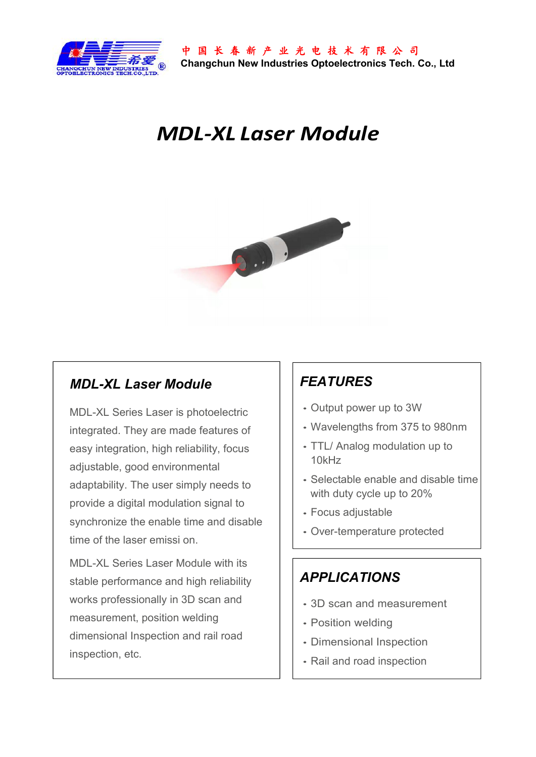

# *MDL-XL Laser Module*



### *MDL-XL Laser Module*

MDL-XL Series Laser is photoelectric integrated. They are made features of easy integration, high reliability, focus adjustable, good environmental adaptability. The user simply needs to provide a digital modulation signal to synchronize the enable time and disable time of the laser emissi on.

MDL-XL Series Laser Module with its stable performance and high reliability works professionally in 3D scan and measurement, position welding dimensional Inspection and rail road inspection, etc.

# *FEATURES*

- Output power up to 3W
- Wavelengths from 375 to 980nm
- TTL/ Analog modulation up to 10kHz
- Selectable enable and disable time with duty cycle up to 20%
- Focus adjustable
- Over-temperature protected

### *APPLICATIONS*

- 3D scan and measurement
- Position welding
- Dimensional Inspection
- Rail and road inspection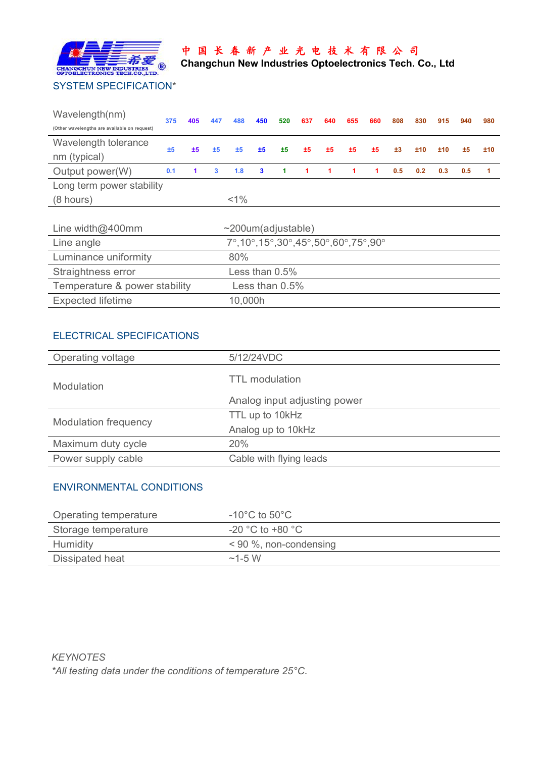

## 中 国 长 春 新 产 业 光 电 技 术 有 限 公 司

**Changchun New Industries Optoelectronics Tech. Co., Ltd**

| Wavelength(nm)                               | 375 | 405 | 447 | 488     | 450          | 520 | 637 | 640 | 655 | 660 | 808 | 830              | 915 | 940 | 980            |
|----------------------------------------------|-----|-----|-----|---------|--------------|-----|-----|-----|-----|-----|-----|------------------|-----|-----|----------------|
| (Other wavelengths are available on request) |     |     |     |         |              |     |     |     |     |     |     |                  |     |     |                |
| Wavelength tolerance<br>nm (typical)         | ±5  | ±5  | ±5  | ±5      | ±5           | ±5  | ±5  | ±5  | ±5  | ±5  | ±3  | ±10              | ±10 | ±5  | ±10            |
| Output power(W)                              | 0.1 |     | 3   | 1.8     | $\mathbf{3}$ |     |     |     |     |     | 0.5 | 0.2 <sub>1</sub> | 0.3 | 0.5 | $\blacksquare$ |
| Long term power stability                    |     |     |     |         |              |     |     |     |     |     |     |                  |     |     |                |
| $(8 \text{ hours})$                          |     |     |     | $< 1\%$ |              |     |     |     |     |     |     |                  |     |     |                |
|                                              |     |     |     |         |              |     |     |     |     |     |     |                  |     |     |                |

| Line width $@400$ mm          | $\sim$ 200um(adjustable)                                                                                    |
|-------------------------------|-------------------------------------------------------------------------------------------------------------|
| Line angle                    | $7^{\circ}, 10^{\circ}, 15^{\circ}, 30^{\circ}, 45^{\circ}, 50^{\circ}, 60^{\circ}, 75^{\circ}, 90^{\circ}$ |
| Luminance uniformity          | 80%                                                                                                         |
| Straightness error            | Less than $0.5\%$                                                                                           |
| Temperature & power stability | Less than 0.5%                                                                                              |
| <b>Expected lifetime</b>      | 10,000h                                                                                                     |

#### ELECTRICAL SPECIFICATIONS

| Operating voltage           | 5/12/24VDC                   |  |  |  |
|-----------------------------|------------------------------|--|--|--|
| <b>Modulation</b>           | TTL modulation               |  |  |  |
|                             | Analog input adjusting power |  |  |  |
|                             | TTL up to 10kHz              |  |  |  |
| <b>Modulation frequency</b> | Analog up to 10kHz           |  |  |  |
| Maximum duty cycle          | 20%                          |  |  |  |
| Power supply cable          | Cable with flying leads      |  |  |  |

#### ENVIRONMENTAL CONDITIONS

| Operating temperature | -10°C to 50°C            |
|-----------------------|--------------------------|
| Storage temperature   | $-20$ °C to +80 °C       |
| Humidity              | $< 90$ %, non-condensing |
| Dissipated heat       | $\sim$ 1-5 W             |